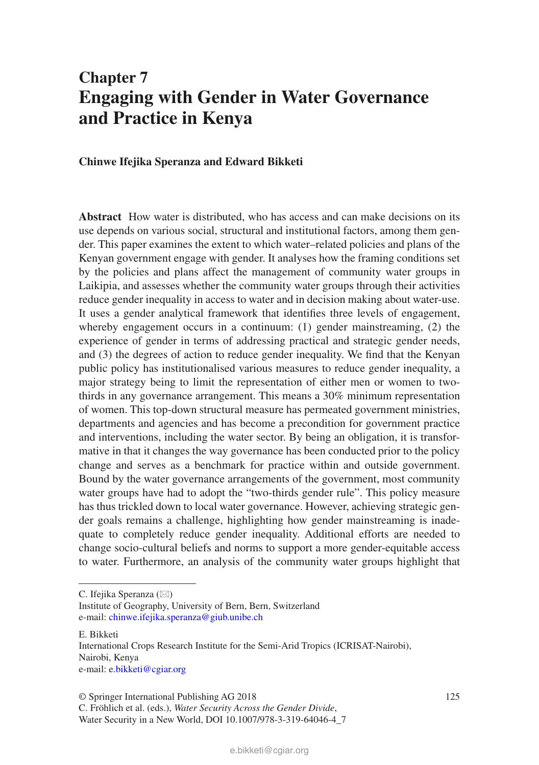# **Chapter 7 Engaging with Gender in Water Governance and Practice in Kenya**

#### **Chinwe Ifejika Speranza and Edward Bikketi**

**Abstract** How water is distributed, who has access and can make decisions on its use depends on various social, structural and institutional factors, among them gender. This paper examines the extent to which water–related policies and plans of the Kenyan government engage with gender. It analyses how the framing conditions set by the policies and plans affect the management of community water groups in Laikipia, and assesses whether the community water groups through their activities reduce gender inequality in access to water and in decision making about water-use. It uses a gender analytical framework that identifies three levels of engagement, whereby engagement occurs in a continuum: (1) gender mainstreaming, (2) the experience of gender in terms of addressing practical and strategic gender needs, and (3) the degrees of action to reduce gender inequality. We find that the Kenyan public policy has institutionalised various measures to reduce gender inequality, a major strategy being to limit the representation of either men or women to twothirds in any governance arrangement. This means a 30% minimum representation of women. This top-down structural measure has permeated government ministries, departments and agencies and has become a precondition for government practice and interventions, including the water sector. By being an obligation, it is transformative in that it changes the way governance has been conducted prior to the policy change and serves as a benchmark for practice within and outside government. Bound by the water governance arrangements of the government, most community water groups have had to adopt the "two-thirds gender rule". This policy measure has thus trickled down to local water governance. However, achieving strategic gender goals remains a challenge, highlighting how gender mainstreaming is inadequate to completely reduce gender inequality. Additional efforts are needed to change socio-cultural beliefs and norms to support a more gender-equitable access to water. Furthermore, an analysis of the community water groups highlight that

C. Ifejika Speranza ( $\boxtimes$ )

E. Bikketi International Crops Research Institute for the Semi-Arid Tropics (ICRISAT-Nairobi), Nairobi, Kenya e-mail: e.bikketi@cgiar.org

© Springer International Publishing AG 2018 125

C. Fröhlich et al. (eds.), *Water Security Across the Gender Divide*, Water Security in a New World, DOI 10.1007/978-3-319-64046-4\_7

Institute of Geography, University of Bern, Bern, Switzerland e-mail: chinwe.ifejika.speranza@giub.unibe.ch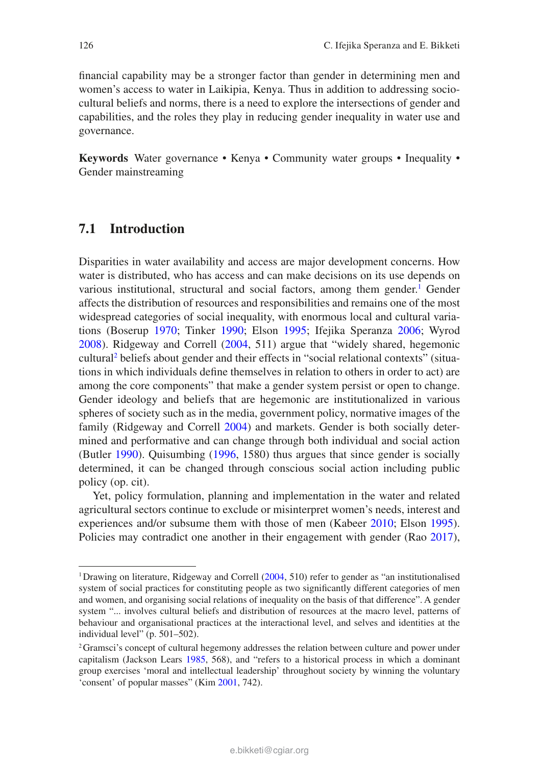financial capability may be a stronger factor than gender in determining men and women's access to water in Laikipia, Kenya. Thus in addition to addressing sociocultural beliefs and norms, there is a need to explore the intersections of gender and capabilities, and the roles they play in reducing gender inequality in water use and governance.

**Keywords** Water governance • Kenya • Community water groups • Inequality • Gender mainstreaming

## **7.1 Introduction**

Disparities in water availability and access are major development concerns. How water is distributed, who has access and can make decisions on its use depends on various institutional, structural and social factors, among them gender.<sup>1</sup> Gender affects the distribution of resources and responsibilities and remains one of the most widespread categories of social inequality, with enormous local and cultural variations (Boserup 1970; Tinker 1990; Elson 1995; Ifejika Speranza 2006; Wyrod 2008). Ridgeway and Correll (2004, 511) argue that "widely shared, hegemonic cultural2 beliefs about gender and their effects in "social relational contexts" (situations in which individuals define themselves in relation to others in order to act) are among the core components" that make a gender system persist or open to change. Gender ideology and beliefs that are hegemonic are institutionalized in various spheres of society such as in the media, government policy, normative images of the family (Ridgeway and Correll 2004) and markets. Gender is both socially determined and performative and can change through both individual and social action (Butler 1990). Quisumbing (1996, 1580) thus argues that since gender is socially determined, it can be changed through conscious social action including public policy (op. cit).

Yet, policy formulation, planning and implementation in the water and related agricultural sectors continue to exclude or misinterpret women's needs, interest and experiences and/or subsume them with those of men (Kabeer 2010; Elson 1995). Policies may contradict one another in their engagement with gender (Rao 2017),

<sup>&</sup>lt;sup>1</sup>Drawing on literature, Ridgeway and Correll (2004, 510) refer to gender as "an institutionalised system of social practices for constituting people as two significantly different categories of men and women, and organising social relations of inequality on the basis of that difference". A gender system "... involves cultural beliefs and distribution of resources at the macro level, patterns of behaviour and organisational practices at the interactional level, and selves and identities at the individual level" (p. 501–502).

<sup>2</sup> Gramsci's concept of cultural hegemony addresses the relation between culture and power under capitalism (Jackson Lears 1985, 568), and "refers to a historical process in which a dominant group exercises 'moral and intellectual leadership' throughout society by winning the voluntary 'consent' of popular masses" (Kim 2001, 742).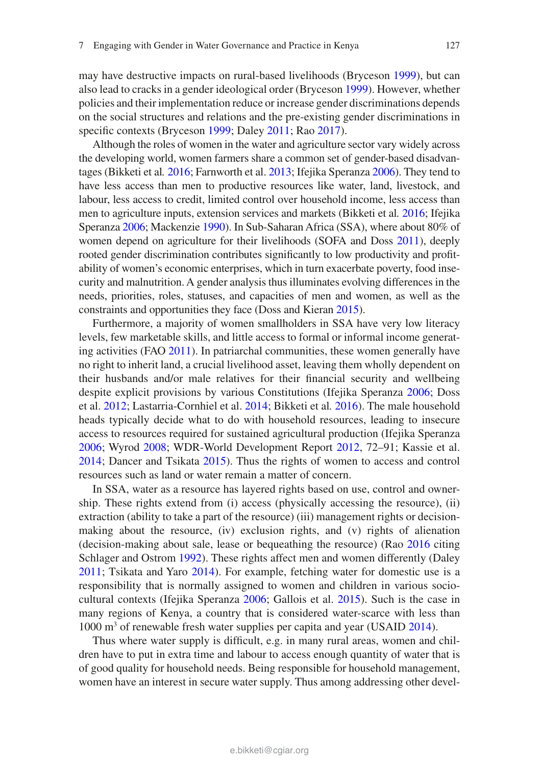may have destructive impacts on rural-based livelihoods (Bryceson 1999), but can also lead to cracks in a gender ideological order (Bryceson 1999). However, whether policies and their implementation reduce or increase gender discriminations depends on the social structures and relations and the pre-existing gender discriminations in specific contexts (Bryceson 1999; Daley 2011; Rao 2017).

Although the roles of women in the water and agriculture sector vary widely across the developing world, women farmers share a common set of gender-based disadvantages (Bikketi et al*.* 2016; Farnworth et al. 2013; Ifejika Speranza 2006). They tend to have less access than men to productive resources like water, land, livestock, and labour, less access to credit, limited control over household income, less access than men to agriculture inputs, extension services and markets (Bikketi et al*.* 2016; Ifejika Speranza 2006; Mackenzie 1990). In Sub-Saharan Africa (SSA), where about 80% of women depend on agriculture for their livelihoods (SOFA and Doss 2011), deeply rooted gender discrimination contributes significantly to low productivity and profitability of women's economic enterprises, which in turn exacerbate poverty, food insecurity and malnutrition. A gender analysis thus illuminates evolving differences in the needs, priorities, roles, statuses, and capacities of men and women, as well as the constraints and opportunities they face (Doss and Kieran 2015).

Furthermore, a majority of women smallholders in SSA have very low literacy levels, few marketable skills, and little access to formal or informal income generating activities (FAO 2011). In patriarchal communities, these women generally have no right to inherit land, a crucial livelihood asset, leaving them wholly dependent on their husbands and/or male relatives for their financial security and wellbeing despite explicit provisions by various Constitutions (Ifejika Speranza 2006; Doss et al. 2012; Lastarria-Cornhiel et al. 2014; Bikketi et al*.* 2016). The male household heads typically decide what to do with household resources, leading to insecure access to resources required for sustained agricultural production (Ifejika Speranza 2006; Wyrod 2008; WDR-World Development Report 2012, 72–91; Kassie et al. 2014; Dancer and Tsikata 2015). Thus the rights of women to access and control resources such as land or water remain a matter of concern.

In SSA, water as a resource has layered rights based on use, control and ownership. These rights extend from (i) access (physically accessing the resource), (ii) extraction (ability to take a part of the resource) (iii) management rights or decisionmaking about the resource, (iv) exclusion rights, and (v) rights of alienation (decision- making about sale, lease or bequeathing the resource) (Rao 2016 citing Schlager and Ostrom 1992). These rights affect men and women differently (Daley 2011; Tsikata and Yaro 2014). For example, fetching water for domestic use is a responsibility that is normally assigned to women and children in various sociocultural contexts (Ifejika Speranza 2006; Gallois et al. 2015). Such is the case in many regions of Kenya, a country that is considered water-scarce with less than 1000 m<sup>3</sup> of renewable fresh water supplies per capita and year (USAID 2014).

Thus where water supply is difficult, e.g. in many rural areas, women and children have to put in extra time and labour to access enough quantity of water that is of good quality for household needs. Being responsible for household management, women have an interest in secure water supply. Thus among addressing other devel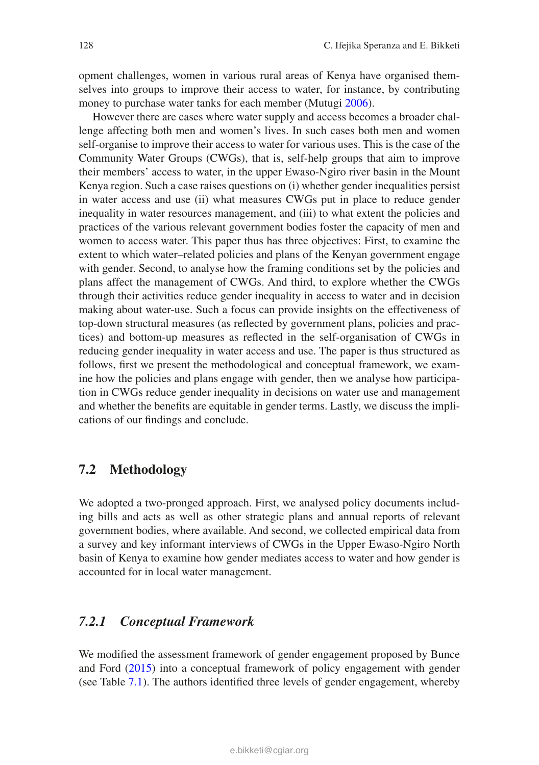opment challenges, women in various rural areas of Kenya have organised themselves into groups to improve their access to water, for instance, by contributing money to purchase water tanks for each member (Mutugi 2006).

However there are cases where water supply and access becomes a broader challenge affecting both men and women's lives. In such cases both men and women self-organise to improve their access to water for various uses. This is the case of the Community Water Groups (CWGs), that is, self-help groups that aim to improve their members' access to water, in the upper Ewaso-Ngiro river basin in the Mount Kenya region. Such a case raises questions on (i) whether gender inequalities persist in water access and use (ii) what measures CWGs put in place to reduce gender inequality in water resources management, and (iii) to what extent the policies and practices of the various relevant government bodies foster the capacity of men and women to access water. This paper thus has three objectives: First, to examine the extent to which water–related policies and plans of the Kenyan government engage with gender. Second, to analyse how the framing conditions set by the policies and plans affect the management of CWGs. And third, to explore whether the CWGs through their activities reduce gender inequality in access to water and in decision making about water-use. Such a focus can provide insights on the effectiveness of top-down structural measures (as reflected by government plans, policies and practices) and bottom-up measures as reflected in the self-organisation of CWGs in reducing gender inequality in water access and use. The paper is thus structured as follows, first we present the methodological and conceptual framework, we examine how the policies and plans engage with gender, then we analyse how participation in CWGs reduce gender inequality in decisions on water use and management and whether the benefits are equitable in gender terms. Lastly, we discuss the implications of our findings and conclude.

# **7.2 Methodology**

We adopted a two-pronged approach. First, we analysed policy documents including bills and acts as well as other strategic plans and annual reports of relevant government bodies, where available. And second, we collected empirical data from a survey and key informant interviews of CWGs in the Upper Ewaso-Ngiro North basin of Kenya to examine how gender mediates access to water and how gender is accounted for in local water management.

# *7.2.1 Conceptual Framework*

We modified the assessment framework of gender engagement proposed by Bunce and Ford (2015) into a conceptual framework of policy engagement with gender (see Table 7.1). The authors identified three levels of gender engagement, whereby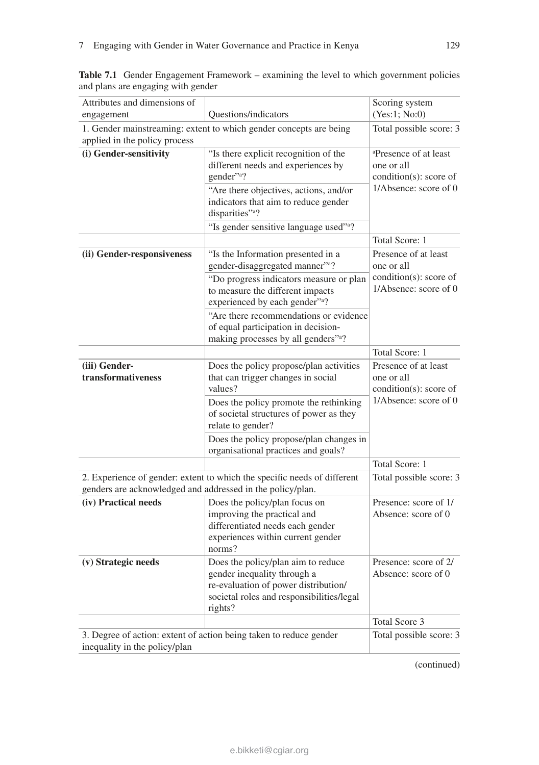| Attributes and dimensions of                               |                                                                                                                                                                   | Scoring system                                                                                     |  |
|------------------------------------------------------------|-------------------------------------------------------------------------------------------------------------------------------------------------------------------|----------------------------------------------------------------------------------------------------|--|
| engagement                                                 | <b>Ouestions/indicators</b>                                                                                                                                       | (Yes:1; No:0)                                                                                      |  |
| applied in the policy process                              | 1. Gender mainstreaming: extent to which gender concepts are being                                                                                                | Total possible score: 3                                                                            |  |
| (i) Gender-sensitivity                                     | "Is there explicit recognition of the<br>different needs and experiences by<br>gender" <sup>2</sup> ?<br>"Are there objectives, actions, and/or                   | <sup>a</sup> Presence of at least<br>one or all<br>condition(s): score of<br>1/Absence: score of 0 |  |
|                                                            | indicators that aim to reduce gender<br>disparities" <sup>a</sup> ?<br>"Is gender sensitive language used" <sup>a?</sup>                                          |                                                                                                    |  |
|                                                            |                                                                                                                                                                   | Total Score: 1                                                                                     |  |
| (ii) Gender-responsiveness                                 | "Is the Information presented in a<br>gender-disaggregated manner" <sup>a?</sup>                                                                                  | Presence of at least<br>one or all                                                                 |  |
|                                                            | "Do progress indicators measure or plan<br>to measure the different impacts<br>experienced by each gender" <sup>2</sup> ?                                         | condition(s): score of<br>1/Absence: score of 0                                                    |  |
|                                                            | "Are there recommendations or evidence<br>of equal participation in decision-<br>making processes by all genders" <sup>a?</sup>                                   |                                                                                                    |  |
|                                                            |                                                                                                                                                                   | Total Score: 1                                                                                     |  |
| (iii) Gender-<br>transformativeness                        | Does the policy propose/plan activities<br>that can trigger changes in social<br>values?                                                                          | Presence of at least<br>one or all<br>condition(s): score of                                       |  |
|                                                            | Does the policy promote the rethinking<br>of societal structures of power as they<br>relate to gender?                                                            | 1/Absence: score of 0                                                                              |  |
|                                                            | Does the policy propose/plan changes in<br>organisational practices and goals?                                                                                    |                                                                                                    |  |
|                                                            |                                                                                                                                                                   | Total Score: 1                                                                                     |  |
| genders are acknowledged and addressed in the policy/plan. | 2. Experience of gender: extent to which the specific needs of different                                                                                          | Total possible score: 3                                                                            |  |
| (iv) Practical needs                                       | Does the policy/plan focus on<br>improving the practical and<br>differentiated needs each gender<br>experiences within current gender<br>norms?                   | Presence: score of 1/<br>Absence: score of 0                                                       |  |
| (v) Strategic needs                                        | Does the policy/plan aim to reduce<br>gender inequality through a<br>re-evaluation of power distribution/<br>societal roles and responsibilities/legal<br>rights? | Presence: score of 2/<br>Absence: score of 0                                                       |  |
|                                                            |                                                                                                                                                                   | Total Score 3                                                                                      |  |
| inequality in the policy/plan                              | 3. Degree of action: extent of action being taken to reduce gender                                                                                                | Total possible score: 3                                                                            |  |

Table 7.1 Gender Engagement Framework – examining the level to which government policies and plans are engaging with gender

(continued)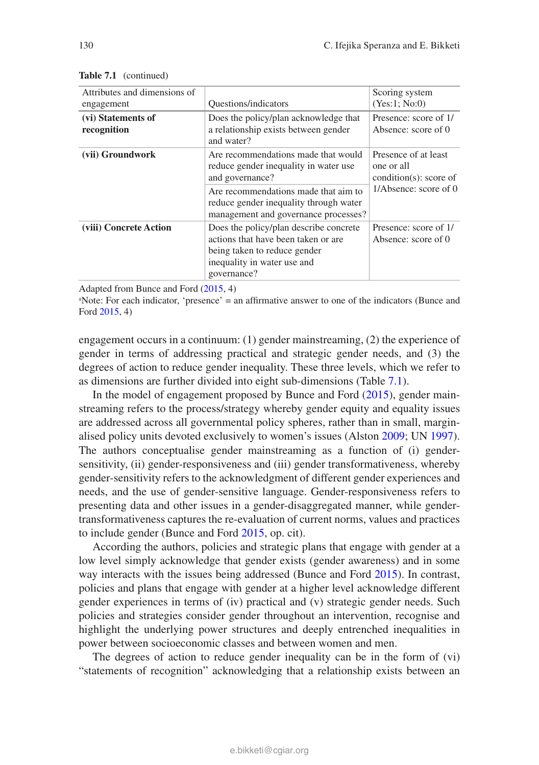| Attributes and dimensions of<br>engagement | <b>Ouestions/indicators</b>                                                                                                                                                                                               | Scoring system<br>(Yes:1; No:0)                                                               |
|--------------------------------------------|---------------------------------------------------------------------------------------------------------------------------------------------------------------------------------------------------------------------------|-----------------------------------------------------------------------------------------------|
| (vi) Statements of<br>recognition          | Does the policy/plan acknowledge that<br>a relationship exists between gender<br>and water?                                                                                                                               | Presence: score of 1/<br>Absence: score of 0                                                  |
| (vii) Groundwork                           | Are recommendations made that would<br>reduce gender inequality in water use<br>and governance?<br>Are recommendations made that aim to<br>reduce gender inequality through water<br>management and governance processes? | Presence of at least<br>one or all<br>$condition(s)$ : score of<br>$1/Ab$ sence: score of $0$ |
| (viii) Concrete Action                     | Does the policy/plan describe concrete<br>actions that have been taken or are<br>being taken to reduce gender<br>inequality in water use and<br>governance?                                                               | Presence: score of 1/<br>Absence: score of 0                                                  |

**Table 7.1** (continued)

Adapted from Bunce and Ford (2015, 4)

a Note: For each indicator, 'presence' = an affirmative answer to one of the indicators (Bunce and Ford 2015, 4)

engagement occurs in a continuum: (1) gender mainstreaming, (2) the experience of gender in terms of addressing practical and strategic gender needs, and (3) the degrees of action to reduce gender inequality. These three levels, which we refer to as dimensions are further divided into eight sub-dimensions (Table 7.1).

In the model of engagement proposed by Bunce and Ford  $(2015)$ , gender mainstreaming refers to the process/strategy whereby gender equity and equality issues are addressed across all governmental policy spheres, rather than in small, marginalised policy units devoted exclusively to women's issues (Alston 2009; UN 1997). The authors conceptualise gender mainstreaming as a function of (i) gendersensitivity, (ii) gender-responsiveness and (iii) gender transformativeness, whereby gender-sensitivity refers to the acknowledgment of different gender experiences and needs, and the use of gender-sensitive language. Gender-responsiveness refers to presenting data and other issues in a gender-disaggregated manner, while gendertransformativeness captures the re-evaluation of current norms, values and practices to include gender (Bunce and Ford 2015, op. cit).

According the authors, policies and strategic plans that engage with gender at a low level simply acknowledge that gender exists (gender awareness) and in some way interacts with the issues being addressed (Bunce and Ford 2015). In contrast, policies and plans that engage with gender at a higher level acknowledge different gender experiences in terms of (iv) practical and (v) strategic gender needs. Such policies and strategies consider gender throughout an intervention, recognise and highlight the underlying power structures and deeply entrenched inequalities in power between socioeconomic classes and between women and men.

The degrees of action to reduce gender inequality can be in the form of (vi) "statements of recognition" acknowledging that a relationship exists between an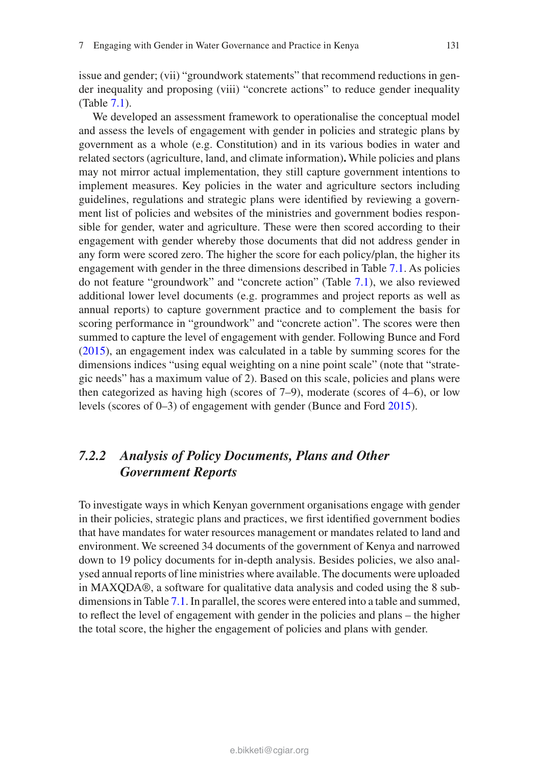issue and gender; (vii) "groundwork statements" that recommend reductions in gender inequality and proposing (viii) "concrete actions" to reduce gender inequality (Table 7.1).

We developed an assessment framework to operationalise the conceptual model and assess the levels of engagement with gender in policies and strategic plans by government as a whole (e.g. Constitution) and in its various bodies in water and related sectors (agriculture, land, and climate information)**.** While policies and plans may not mirror actual implementation, they still capture government intentions to implement measures. Key policies in the water and agriculture sectors including guidelines, regulations and strategic plans were identified by reviewing a government list of policies and websites of the ministries and government bodies responsible for gender, water and agriculture. These were then scored according to their engagement with gender whereby those documents that did not address gender in any form were scored zero. The higher the score for each policy/plan, the higher its engagement with gender in the three dimensions described in Table 7.1. As policies do not feature "groundwork" and "concrete action" (Table 7.1), we also reviewed additional lower level documents (e.g. programmes and project reports as well as annual reports) to capture government practice and to complement the basis for scoring performance in "groundwork" and "concrete action". The scores were then summed to capture the level of engagement with gender. Following Bunce and Ford (2015), an engagement index was calculated in a table by summing scores for the dimensions indices "using equal weighting on a nine point scale" (note that "strategic needs" has a maximum value of 2). Based on this scale, policies and plans were then categorized as having high (scores of 7–9), moderate (scores of 4–6), or low levels (scores of 0–3) of engagement with gender (Bunce and Ford 2015).

# *7.2.2 Analysis of Policy Documents, Plans and Other Government Reports*

To investigate ways in which Kenyan government organisations engage with gender in their policies, strategic plans and practices, we first identified government bodies that have mandates for water resources management or mandates related to land and environment. We screened 34 documents of the government of Kenya and narrowed down to 19 policy documents for in-depth analysis. Besides policies, we also analysed annual reports of line ministries where available. The documents were uploaded in MAXQDA®, a software for qualitative data analysis and coded using the 8 subdimensions in Table 7.1. In parallel, the scores were entered into a table and summed, to reflect the level of engagement with gender in the policies and plans – the higher the total score, the higher the engagement of policies and plans with gender.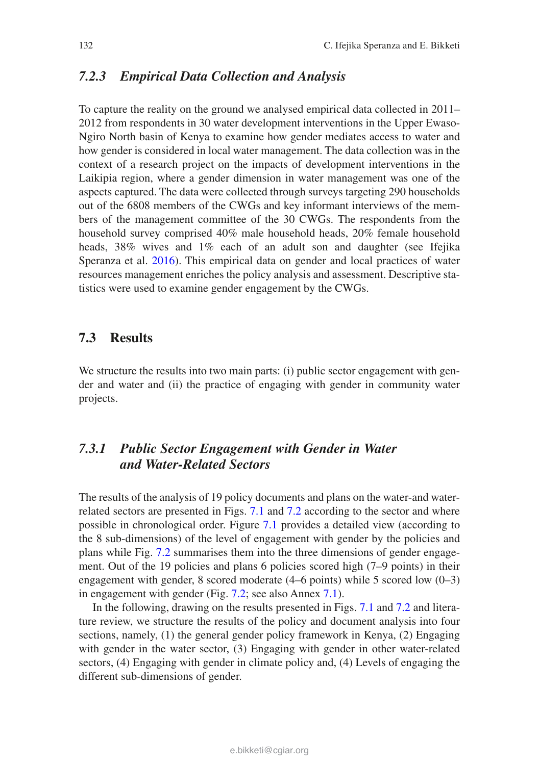# *7.2.3 Empirical Data Collection and Analysis*

To capture the reality on the ground we analysed empirical data collected in 2011– 2012 from respondents in 30 water development interventions in the Upper Ewaso-Ngiro North basin of Kenya to examine how gender mediates access to water and how gender is considered in local water management. The data collection was in the context of a research project on the impacts of development interventions in the Laikipia region, where a gender dimension in water management was one of the aspects captured. The data were collected through surveys targeting 290 households out of the 6808 members of the CWGs and key informant interviews of the members of the management committee of the 30 CWGs. The respondents from the household survey comprised 40% male household heads, 20% female household heads, 38% wives and 1% each of an adult son and daughter (see Ifejika Speranza et al. 2016). This empirical data on gender and local practices of water resources management enriches the policy analysis and assessment. Descriptive statistics were used to examine gender engagement by the CWGs.

### **7.3 Results**

We structure the results into two main parts: (i) public sector engagement with gender and water and (ii) the practice of engaging with gender in community water projects.

# *7.3.1 Public Sector Engagement with Gender in Water and Water-Related Sectors*

The results of the analysis of 19 policy documents and plans on the water-and waterrelated sectors are presented in Figs. 7.1 and 7.2 according to the sector and where possible in chronological order. Figure 7.1 provides a detailed view (according to the 8 sub-dimensions) of the level of engagement with gender by the policies and plans while Fig. 7.2 summarises them into the three dimensions of gender engagement. Out of the 19 policies and plans 6 policies scored high (7–9 points) in their engagement with gender, 8 scored moderate (4–6 points) while 5 scored low (0–3) in engagement with gender (Fig. 7.2; see also Annex 7.1).

In the following, drawing on the results presented in Figs. 7.1 and 7.2 and literature review, we structure the results of the policy and document analysis into four sections, namely, (1) the general gender policy framework in Kenya, (2) Engaging with gender in the water sector, (3) Engaging with gender in other water-related sectors, (4) Engaging with gender in climate policy and, (4) Levels of engaging the different sub-dimensions of gender.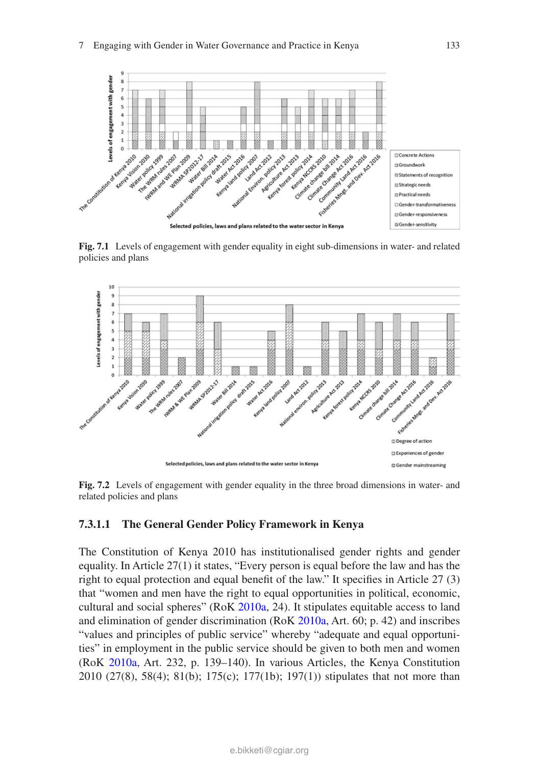

**Fig. 7.1** Levels of engagement with gender equality in eight sub-dimensions in water- and related policies and plans



**Fig. 7.2** Levels of engagement with gender equality in the three broad dimensions in water- and related policies and plans

#### **7.3.1.1 The General Gender Policy Framework in Kenya**

The Constitution of Kenya 2010 has institutionalised gender rights and gender equality. In Article 27(1) it states, "Every person is equal before the law and has the right to equal protection and equal benefit of the law." It specifies in Article 27 (3) that "women and men have the right to equal opportunities in political, economic, cultural and social spheres" (RoK 2010a, 24). It stipulates equitable access to land and elimination of gender discrimination (RoK 2010a, Art. 60; p. 42) and inscribes "values and principles of public service" whereby "adequate and equal opportunities" in employment in the public service should be given to both men and women (RoK 2010a, Art. 232, p. 139–140). In various Articles, the Kenya Constitution 2010 (27(8), 58(4); 81(b); 175(c); 177(1b); 197(1)) stipulates that not more than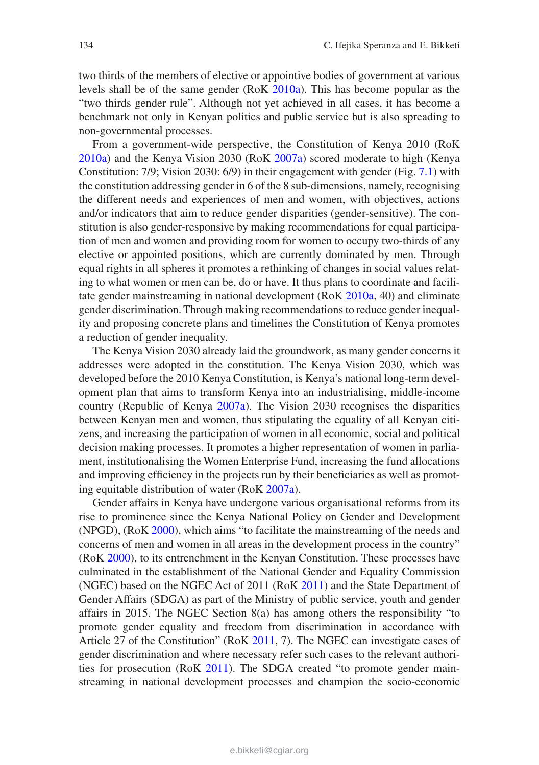two thirds of the members of elective or appointive bodies of government at various levels shall be of the same gender (RoK 2010a). This has become popular as the "two thirds gender rule". Although not yet achieved in all cases, it has become a benchmark not only in Kenyan politics and public service but is also spreading to non-governmental processes.

From a government-wide perspective, the Constitution of Kenya 2010 (RoK 2010a) and the Kenya Vision 2030 (RoK 2007a) scored moderate to high (Kenya Constitution: 7/9; Vision 2030: 6/9) in their engagement with gender (Fig. 7.1) with the constitution addressing gender in 6 of the 8 sub-dimensions, namely, recognising the different needs and experiences of men and women, with objectives, actions and/or indicators that aim to reduce gender disparities (gender-sensitive). The constitution is also gender-responsive by making recommendations for equal participation of men and women and providing room for women to occupy two-thirds of any elective or appointed positions, which are currently dominated by men. Through equal rights in all spheres it promotes a rethinking of changes in social values relating to what women or men can be, do or have. It thus plans to coordinate and facilitate gender mainstreaming in national development (RoK 2010a, 40) and eliminate gender discrimination. Through making recommendations to reduce gender inequality and proposing concrete plans and timelines the Constitution of Kenya promotes a reduction of gender inequality.

The Kenya Vision 2030 already laid the groundwork, as many gender concerns it addresses were adopted in the constitution. The Kenya Vision 2030, which was developed before the 2010 Kenya Constitution, is Kenya's national long-term development plan that aims to transform Kenya into an industrialising, middle-income country (Republic of Kenya 2007a). The Vision 2030 recognises the disparities between Kenyan men and women, thus stipulating the equality of all Kenyan citizens, and increasing the participation of women in all economic, social and political decision making processes. It promotes a higher representation of women in parliament, institutionalising the Women Enterprise Fund, increasing the fund allocations and improving efficiency in the projects run by their beneficiaries as well as promoting equitable distribution of water (RoK 2007a).

Gender affairs in Kenya have undergone various organisational reforms from its rise to prominence since the Kenya National Policy on Gender and Development (NPGD), (RoK 2000), which aims "to facilitate the mainstreaming of the needs and concerns of men and women in all areas in the development process in the country" (RoK 2000), to its entrenchment in the Kenyan Constitution. These processes have culminated in the establishment of the National Gender and Equality Commission (NGEC) based on the NGEC Act of 2011 (RoK 2011) and the State Department of Gender Affairs (SDGA) as part of the Ministry of public service, youth and gender affairs in 2015. The NGEC Section 8(a) has among others the responsibility "to promote gender equality and freedom from discrimination in accordance with Article 27 of the Constitution" (RoK 2011, 7). The NGEC can investigate cases of gender discrimination and where necessary refer such cases to the relevant authorities for prosecution (RoK 2011). The SDGA created "to promote gender mainstreaming in national development processes and champion the socio-economic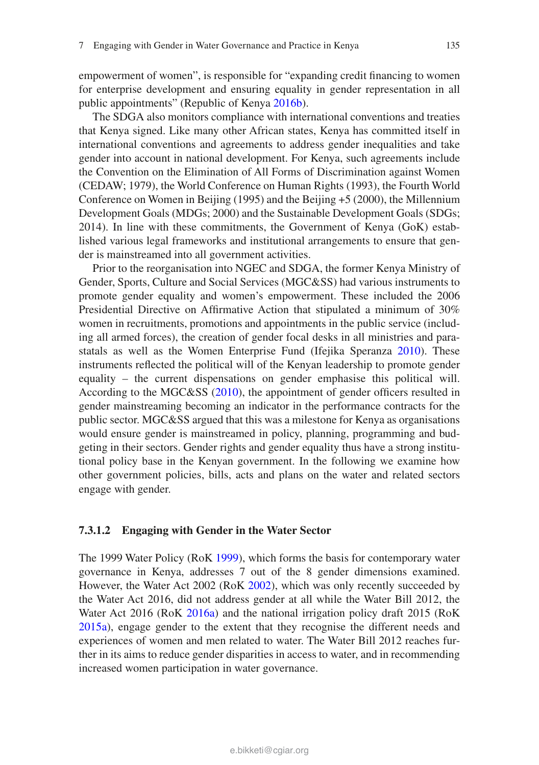empowerment of women", is responsible for "expanding credit financing to women for enterprise development and ensuring equality in gender representation in all public appointments" (Republic of Kenya 2016b).

The SDGA also monitors compliance with international conventions and treaties that Kenya signed. Like many other African states, Kenya has committed itself in international conventions and agreements to address gender inequalities and take gender into account in national development. For Kenya, such agreements include the Convention on the Elimination of All Forms of Discrimination against Women (CEDAW; 1979), the World Conference on Human Rights (1993), the Fourth World Conference on Women in Beijing (1995) and the Beijing +5 (2000), the Millennium Development Goals (MDGs; 2000) and the Sustainable Development Goals (SDGs; 2014). In line with these commitments, the Government of Kenya (GoK) established various legal frameworks and institutional arrangements to ensure that gender is mainstreamed into all government activities.

Prior to the reorganisation into NGEC and SDGA, the former Kenya Ministry of Gender, Sports, Culture and Social Services (MGC&SS) had various instruments to promote gender equality and women's empowerment. These included the 2006 Presidential Directive on Affirmative Action that stipulated a minimum of 30% women in recruitments, promotions and appointments in the public service (including all armed forces), the creation of gender focal desks in all ministries and parastatals as well as the Women Enterprise Fund (Ifejika Speranza 2010). These instruments reflected the political will of the Kenyan leadership to promote gender equality – the current dispensations on gender emphasise this political will. According to the MGC&SS (2010), the appointment of gender officers resulted in gender mainstreaming becoming an indicator in the performance contracts for the public sector. MGC&SS argued that this was a milestone for Kenya as organisations would ensure gender is mainstreamed in policy, planning, programming and budgeting in their sectors. Gender rights and gender equality thus have a strong institutional policy base in the Kenyan government. In the following we examine how other government policies, bills, acts and plans on the water and related sectors engage with gender.

#### **7.3.1.2 Engaging with Gender in the Water Sector**

The 1999 Water Policy (RoK 1999), which forms the basis for contemporary water governance in Kenya, addresses 7 out of the 8 gender dimensions examined. However, the Water Act 2002 (RoK 2002), which was only recently succeeded by the Water Act 2016, did not address gender at all while the Water Bill 2012, the Water Act 2016 (RoK 2016a) and the national irrigation policy draft 2015 (RoK 2015a), engage gender to the extent that they recognise the different needs and experiences of women and men related to water. The Water Bill 2012 reaches further in its aims to reduce gender disparities in access to water, and in recommending increased women participation in water governance.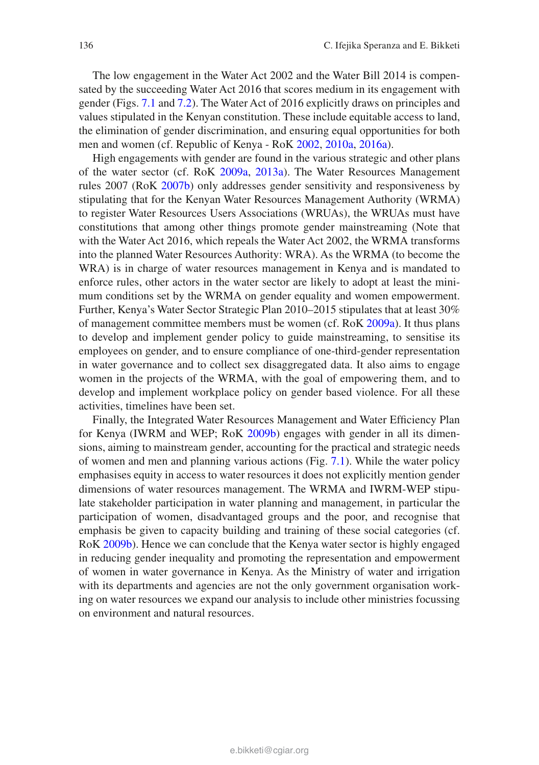The low engagement in the Water Act 2002 and the Water Bill 2014 is compensated by the succeeding Water Act 2016 that scores medium in its engagement with gender (Figs. 7.1 and 7.2). The Water Act of 2016 explicitly draws on principles and values stipulated in the Kenyan constitution. These include equitable access to land, the elimination of gender discrimination, and ensuring equal opportunities for both men and women (cf. Republic of Kenya - RoK 2002, 2010a, 2016a).

High engagements with gender are found in the various strategic and other plans of the water sector (cf. RoK 2009a, 2013a). The Water Resources Management rules 2007 (RoK 2007b) only addresses gender sensitivity and responsiveness by stipulating that for the Kenyan Water Resources Management Authority (WRMA) to register Water Resources Users Associations (WRUAs), the WRUAs must have constitutions that among other things promote gender mainstreaming (Note that with the Water Act 2016, which repeals the Water Act 2002, the WRMA transforms into the planned Water Resources Authority: WRA). As the WRMA (to become the WRA) is in charge of water resources management in Kenya and is mandated to enforce rules, other actors in the water sector are likely to adopt at least the minimum conditions set by the WRMA on gender equality and women empowerment. Further, Kenya's Water Sector Strategic Plan 2010–2015 stipulates that at least 30% of management committee members must be women (cf. RoK 2009a). It thus plans to develop and implement gender policy to guide mainstreaming, to sensitise its employees on gender, and to ensure compliance of one-third-gender representation in water governance and to collect sex disaggregated data. It also aims to engage women in the projects of the WRMA, with the goal of empowering them, and to develop and implement workplace policy on gender based violence. For all these activities, timelines have been set.

Finally, the Integrated Water Resources Management and Water Efficiency Plan for Kenya (IWRM and WEP; RoK 2009b) engages with gender in all its dimensions, aiming to mainstream gender, accounting for the practical and strategic needs of women and men and planning various actions (Fig. 7.1). While the water policy emphasises equity in access to water resources it does not explicitly mention gender dimensions of water resources management. The WRMA and IWRM-WEP stipulate stakeholder participation in water planning and management, in particular the participation of women, disadvantaged groups and the poor, and recognise that emphasis be given to capacity building and training of these social categories (cf. RoK 2009b). Hence we can conclude that the Kenya water sector is highly engaged in reducing gender inequality and promoting the representation and empowerment of women in water governance in Kenya. As the Ministry of water and irrigation with its departments and agencies are not the only government organisation working on water resources we expand our analysis to include other ministries focussing on environment and natural resources.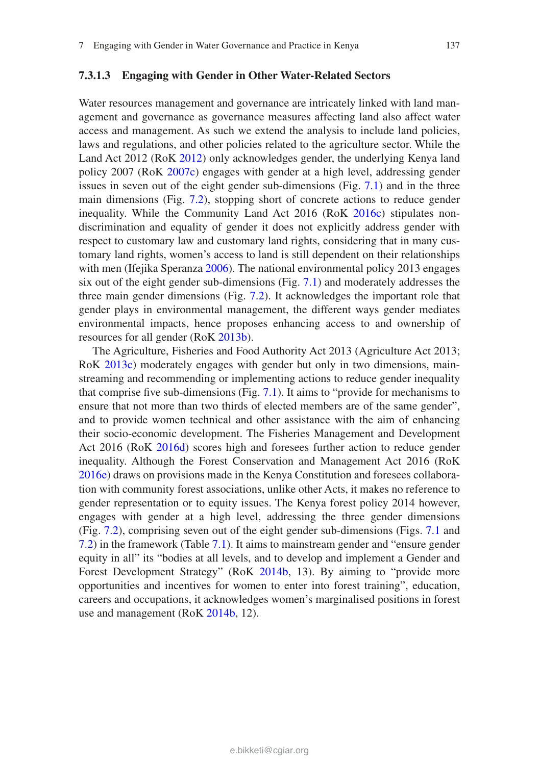#### **7.3.1.3 Engaging with Gender in Other Water-Related Sectors**

Water resources management and governance are intricately linked with land management and governance as governance measures affecting land also affect water access and management. As such we extend the analysis to include land policies, laws and regulations, and other policies related to the agriculture sector. While the Land Act 2012 (RoK 2012) only acknowledges gender, the underlying Kenya land policy 2007 (RoK 2007c) engages with gender at a high level, addressing gender issues in seven out of the eight gender sub-dimensions (Fig.  $7.1$ ) and in the three main dimensions (Fig. 7.2), stopping short of concrete actions to reduce gender inequality. While the Community Land Act 2016 (RoK 2016c) stipulates nondiscrimination and equality of gender it does not explicitly address gender with respect to customary law and customary land rights, considering that in many customary land rights, women's access to land is still dependent on their relationships with men (Ifejika Speranza 2006). The national environmental policy 2013 engages six out of the eight gender sub-dimensions (Fig. 7.1) and moderately addresses the three main gender dimensions (Fig. 7.2). It acknowledges the important role that gender plays in environmental management, the different ways gender mediates environmental impacts, hence proposes enhancing access to and ownership of resources for all gender (RoK 2013b).

The Agriculture, Fisheries and Food Authority Act 2013 (Agriculture Act 2013; RoK 2013c) moderately engages with gender but only in two dimensions, mainstreaming and recommending or implementing actions to reduce gender inequality that comprise five sub-dimensions (Fig.  $7.1$ ). It aims to "provide for mechanisms to ensure that not more than two thirds of elected members are of the same gender", and to provide women technical and other assistance with the aim of enhancing their socio-economic development. The Fisheries Management and Development Act 2016 (RoK 2016d) scores high and foresees further action to reduce gender inequality. Although the Forest Conservation and Management Act 2016 (RoK 2016e) draws on provisions made in the Kenya Constitution and foresees collaboration with community forest associations, unlike other Acts, it makes no reference to gender representation or to equity issues. The Kenya forest policy 2014 however, engages with gender at a high level, addressing the three gender dimensions (Fig. 7.2), comprising seven out of the eight gender sub-dimensions (Figs. 7.1 and 7.2) in the framework (Table 7.1). It aims to mainstream gender and "ensure gender equity in all" its "bodies at all levels, and to develop and implement a Gender and Forest Development Strategy" (RoK 2014b, 13). By aiming to "provide more opportunities and incentives for women to enter into forest training", education, careers and occupations, it acknowledges women's marginalised positions in forest use and management (RoK 2014b, 12).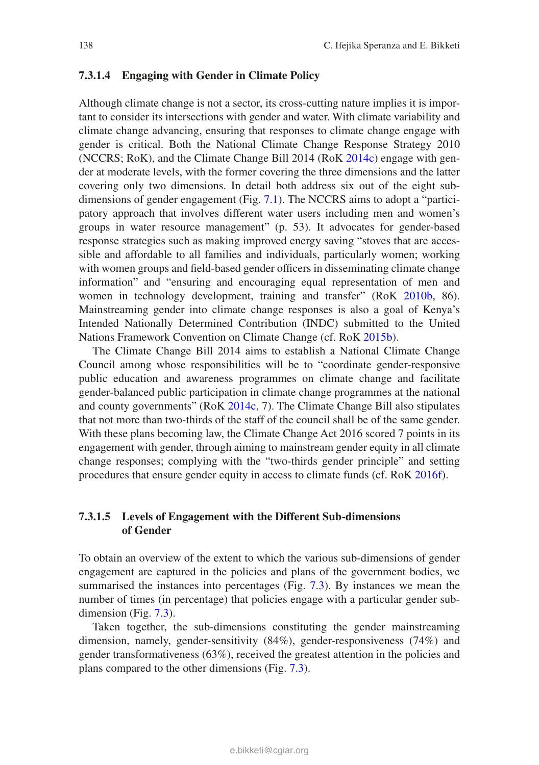#### **7.3.1.4 Engaging with Gender in Climate Policy**

Although climate change is not a sector, its cross-cutting nature implies it is important to consider its intersections with gender and water. With climate variability and climate change advancing, ensuring that responses to climate change engage with gender is critical. Both the National Climate Change Response Strategy 2010 (NCCRS; RoK), and the Climate Change Bill 2014 (RoK 2014c) engage with gender at moderate levels, with the former covering the three dimensions and the latter covering only two dimensions. In detail both address six out of the eight subdimensions of gender engagement (Fig. 7.1). The NCCRS aims to adopt a "participatory approach that involves different water users including men and women's groups in water resource management" (p. 53). It advocates for gender-based response strategies such as making improved energy saving "stoves that are accessible and affordable to all families and individuals, particularly women; working with women groups and field-based gender officers in disseminating climate change information" and "ensuring and encouraging equal representation of men and women in technology development, training and transfer" (RoK 2010b, 86). Mainstreaming gender into climate change responses is also a goal of Kenya's Intended Nationally Determined Contribution (INDC) submitted to the United Nations Framework Convention on Climate Change (cf. RoK 2015b).

The Climate Change Bill 2014 aims to establish a National Climate Change Council among whose responsibilities will be to "coordinate gender-responsive public education and awareness programmes on climate change and facilitate gender- balanced public participation in climate change programmes at the national and county governments" (RoK 2014c, 7). The Climate Change Bill also stipulates that not more than two-thirds of the staff of the council shall be of the same gender. With these plans becoming law, the Climate Change Act 2016 scored 7 points in its engagement with gender, through aiming to mainstream gender equity in all climate change responses; complying with the "two-thirds gender principle" and setting procedures that ensure gender equity in access to climate funds (cf. RoK 2016f).

#### **7.3.1.5 Levels of Engagement with the Different Sub-dimensions of Gender**

To obtain an overview of the extent to which the various sub-dimensions of gender engagement are captured in the policies and plans of the government bodies, we summarised the instances into percentages (Fig. 7.3). By instances we mean the number of times (in percentage) that policies engage with a particular gender subdimension (Fig. 7.3).

Taken together, the sub-dimensions constituting the gender mainstreaming dimension, namely, gender-sensitivity (84%), gender-responsiveness (74%) and gender transformativeness (63%), received the greatest attention in the policies and plans compared to the other dimensions (Fig. 7.3).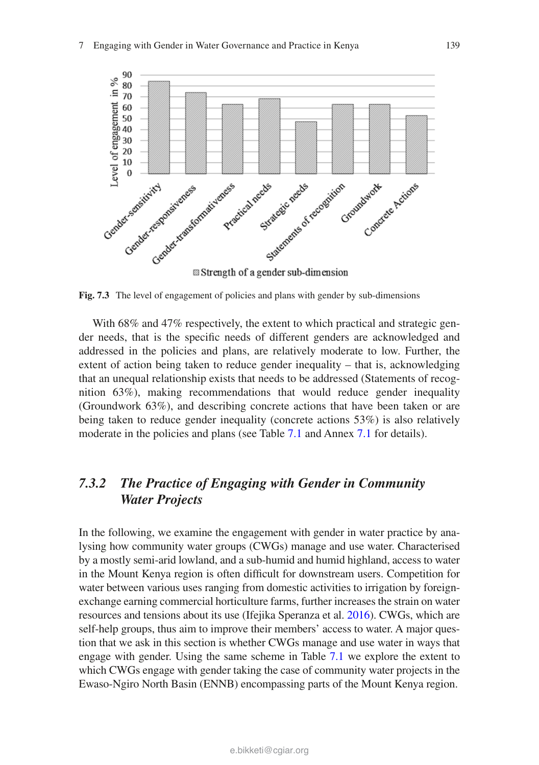

Fig. 7.3 The level of engagement of policies and plans with gender by sub-dimensions

With 68% and 47% respectively, the extent to which practical and strategic gender needs, that is the specific needs of different genders are acknowledged and addressed in the policies and plans, are relatively moderate to low. Further, the extent of action being taken to reduce gender inequality – that is, acknowledging that an unequal relationship exists that needs to be addressed (Statements of recognition 63%), making recommendations that would reduce gender inequality (Groundwork 63%), and describing concrete actions that have been taken or are being taken to reduce gender inequality (concrete actions 53%) is also relatively moderate in the policies and plans (see Table 7.1 and Annex 7.1 for details).

# *7.3.2 The Practice of Engaging with Gender in Community Water Projects*

In the following, we examine the engagement with gender in water practice by analysing how community water groups (CWGs) manage and use water. Characterised by a mostly semi-arid lowland, and a sub-humid and humid highland, access to water in the Mount Kenya region is often difficult for downstream users. Competition for water between various uses ranging from domestic activities to irrigation by foreignexchange earning commercial horticulture farms, further increases the strain on water resources and tensions about its use (Ifejika Speranza et al. 2016). CWGs, which are self-help groups, thus aim to improve their members' access to water. A major question that we ask in this section is whether CWGs manage and use water in ways that engage with gender. Using the same scheme in Table 7.1 we explore the extent to which CWGs engage with gender taking the case of community water projects in the Ewaso-Ngiro North Basin (ENNB) encompassing parts of the Mount Kenya region.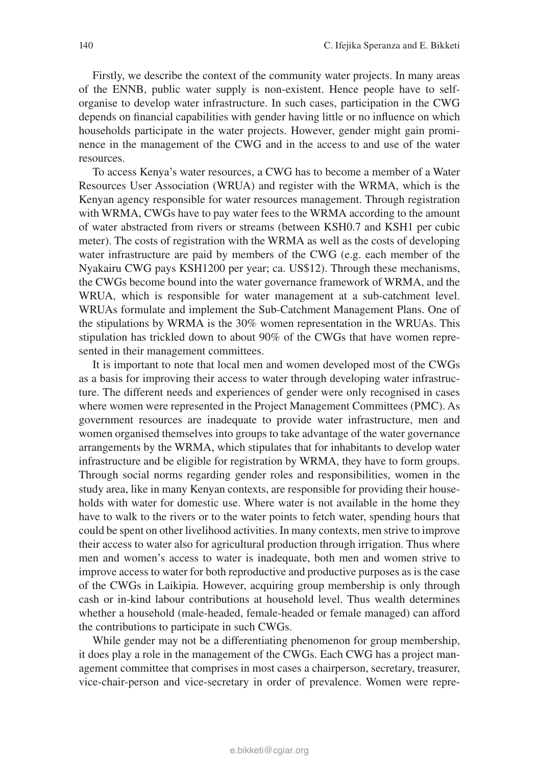Firstly, we describe the context of the community water projects. In many areas of the ENNB, public water supply is non-existent. Hence people have to selforganise to develop water infrastructure. In such cases, participation in the CWG depends on financial capabilities with gender having little or no influence on which households participate in the water projects. However, gender might gain prominence in the management of the CWG and in the access to and use of the water resources.

To access Kenya's water resources, a CWG has to become a member of a Water Resources User Association (WRUA) and register with the WRMA, which is the Kenyan agency responsible for water resources management. Through registration with WRMA, CWGs have to pay water fees to the WRMA according to the amount of water abstracted from rivers or streams (between KSH0.7 and KSH1 per cubic meter). The costs of registration with the WRMA as well as the costs of developing water infrastructure are paid by members of the CWG (e.g. each member of the Nyakairu CWG pays KSH1200 per year; ca. US\$12). Through these mechanisms, the CWGs become bound into the water governance framework of WRMA, and the WRUA, which is responsible for water management at a sub-catchment level. WRUAs formulate and implement the Sub-Catchment Management Plans. One of the stipulations by WRMA is the 30% women representation in the WRUAs. This stipulation has trickled down to about 90% of the CWGs that have women represented in their management committees.

It is important to note that local men and women developed most of the CWGs as a basis for improving their access to water through developing water infrastructure. The different needs and experiences of gender were only recognised in cases where women were represented in the Project Management Committees (PMC). As government resources are inadequate to provide water infrastructure, men and women organised themselves into groups to take advantage of the water governance arrangements by the WRMA, which stipulates that for inhabitants to develop water infrastructure and be eligible for registration by WRMA, they have to form groups. Through social norms regarding gender roles and responsibilities, women in the study area, like in many Kenyan contexts, are responsible for providing their households with water for domestic use. Where water is not available in the home they have to walk to the rivers or to the water points to fetch water, spending hours that could be spent on other livelihood activities. In many contexts, men strive to improve their access to water also for agricultural production through irrigation. Thus where men and women's access to water is inadequate, both men and women strive to improve access to water for both reproductive and productive purposes as is the case of the CWGs in Laikipia. However, acquiring group membership is only through cash or in-kind labour contributions at household level. Thus wealth determines whether a household (male-headed, female-headed or female managed) can afford the contributions to participate in such CWGs.

While gender may not be a differentiating phenomenon for group membership, it does play a role in the management of the CWGs. Each CWG has a project management committee that comprises in most cases a chairperson, secretary, treasurer, vice-chair-person and vice-secretary in order of prevalence. Women were repre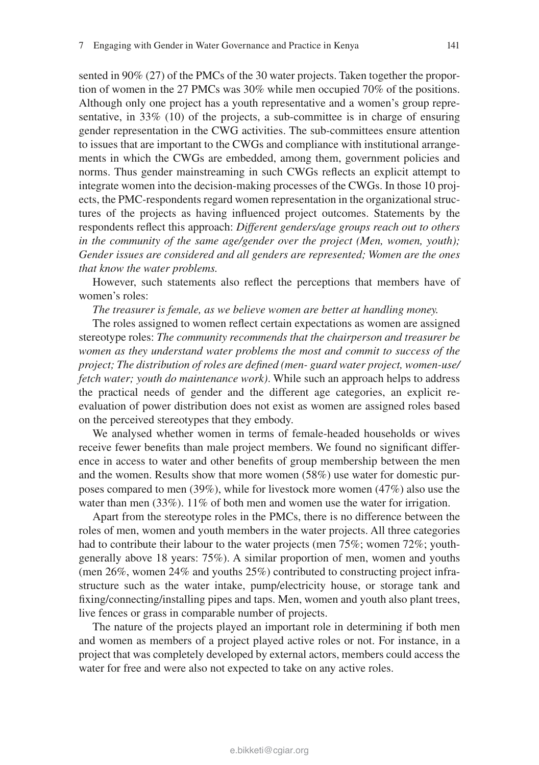sented in 90% (27) of the PMCs of the 30 water projects. Taken together the proportion of women in the 27 PMCs was 30% while men occupied 70% of the positions. Although only one project has a youth representative and a women's group representative, in  $33\%$  (10) of the projects, a sub-committee is in charge of ensuring gender representation in the CWG activities. The sub-committees ensure attention to issues that are important to the CWGs and compliance with institutional arrangements in which the CWGs are embedded, among them, government policies and norms. Thus gender mainstreaming in such CWGs reflects an explicit attempt to integrate women into the decision-making processes of the CWGs. In those 10 projects, the PMC-respondents regard women representation in the organizational structures of the projects as having influenced project outcomes. Statements by the respondents reflect this approach: *Different genders/age groups reach out to others in the community of the same age/gender over the project (Men, women, youth); Gender issues are considered and all genders are represented; Women are the ones that know the water problems.*

However, such statements also reflect the perceptions that members have of women's roles:

*The treasurer is female, as we believe women are better at handling money.*

The roles assigned to women reflect certain expectations as women are assigned stereotype roles: *The community recommends that the chairperson and treasurer be women as they understand water problems the most and commit to success of the project; The distribution of roles are defined (men- guard water project, women-use/ fetch water; youth do maintenance work)*. While such an approach helps to address the practical needs of gender and the different age categories, an explicit reevaluation of power distribution does not exist as women are assigned roles based on the perceived stereotypes that they embody.

We analysed whether women in terms of female-headed households or wives receive fewer benefits than male project members. We found no significant difference in access to water and other benefits of group membership between the men and the women. Results show that more women (58%) use water for domestic purposes compared to men (39%), while for livestock more women (47%) also use the water than men (33%). 11% of both men and women use the water for irrigation.

Apart from the stereotype roles in the PMCs, there is no difference between the roles of men, women and youth members in the water projects. All three categories had to contribute their labour to the water projects (men 75%; women 72%; youthgenerally above 18 years: 75%). A similar proportion of men, women and youths (men 26%, women 24% and youths 25%) contributed to constructing project infrastructure such as the water intake, pump/electricity house, or storage tank and fixing/connecting/installing pipes and taps. Men, women and youth also plant trees, live fences or grass in comparable number of projects.

The nature of the projects played an important role in determining if both men and women as members of a project played active roles or not. For instance, in a project that was completely developed by external actors, members could access the water for free and were also not expected to take on any active roles.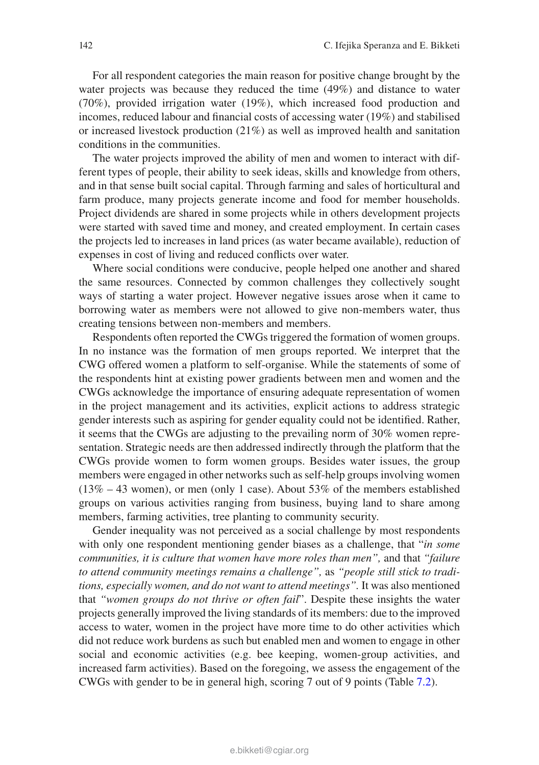For all respondent categories the main reason for positive change brought by the water projects was because they reduced the time (49%) and distance to water (70%), provided irrigation water (19%), which increased food production and incomes, reduced labour and financial costs of accessing water (19%) and stabilised or increased livestock production  $(21\%)$  as well as improved health and sanitation conditions in the communities.

The water projects improved the ability of men and women to interact with different types of people, their ability to seek ideas, skills and knowledge from others, and in that sense built social capital. Through farming and sales of horticultural and farm produce, many projects generate income and food for member households. Project dividends are shared in some projects while in others development projects were started with saved time and money, and created employment. In certain cases the projects led to increases in land prices (as water became available), reduction of expenses in cost of living and reduced conflicts over water.

Where social conditions were conducive, people helped one another and shared the same resources. Connected by common challenges they collectively sought ways of starting a water project. However negative issues arose when it came to borrowing water as members were not allowed to give non-members water, thus creating tensions between non-members and members.

Respondents often reported the CWGs triggered the formation of women groups. In no instance was the formation of men groups reported. We interpret that the CWG offered women a platform to self-organise. While the statements of some of the respondents hint at existing power gradients between men and women and the CWGs acknowledge the importance of ensuring adequate representation of women in the project management and its activities, explicit actions to address strategic gender interests such as aspiring for gender equality could not be identified. Rather, it seems that the CWGs are adjusting to the prevailing norm of 30% women representation. Strategic needs are then addressed indirectly through the platform that the CWGs provide women to form women groups. Besides water issues, the group members were engaged in other networks such as self-help groups involving women  $(13\% - 43$  women), or men (only 1 case). About 53% of the members established groups on various activities ranging from business, buying land to share among members, farming activities, tree planting to community security.

Gender inequality was not perceived as a social challenge by most respondents with only one respondent mentioning gender biases as a challenge, that "*in some communities, it is culture that women have more roles than men",* and that *"failure to attend community meetings remains a challenge",* as *"people still stick to traditions, especially women, and do not want to attend meetings".* It was also mentioned that *"women groups do not thrive or often fail*". Despite these insights the water projects generally improved the living standards of its members: due to the improved access to water, women in the project have more time to do other activities which did not reduce work burdens as such but enabled men and women to engage in other social and economic activities (e.g. bee keeping, women-group activities, and increased farm activities). Based on the foregoing, we assess the engagement of the CWGs with gender to be in general high, scoring 7 out of 9 points (Table 7.2).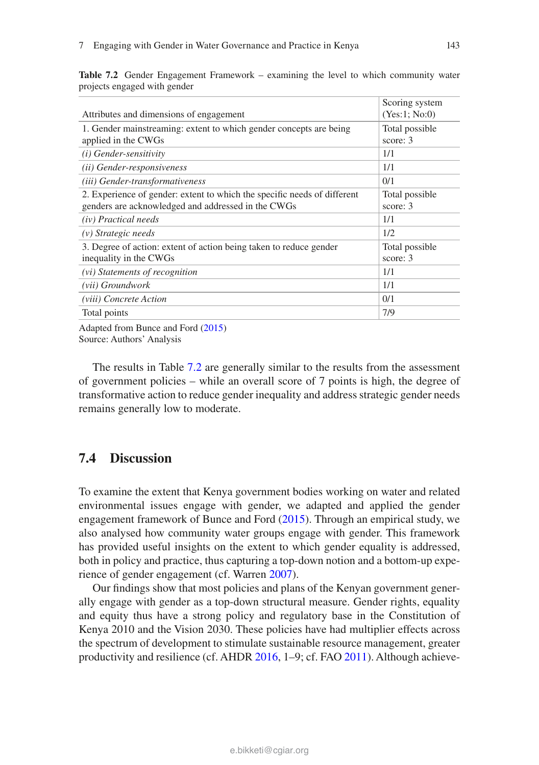| Attributes and dimensions of engagement                                                                                        | Scoring system<br>(Yes:1; No:0) |
|--------------------------------------------------------------------------------------------------------------------------------|---------------------------------|
| 1. Gender mainstreaming: extent to which gender concepts are being<br>applied in the CWGs                                      | Total possible<br>score: 3      |
| $(i)$ Gender-sensitivity                                                                                                       | 1/1                             |
| (ii) Gender-responsiveness                                                                                                     | 1/1                             |
| (iii) Gender-transformativeness                                                                                                | 0/1                             |
| 2. Experience of gender: extent to which the specific needs of different<br>genders are acknowledged and addressed in the CWGs | Total possible<br>score: 3      |
| (iv) Practical needs                                                                                                           | 1/1                             |
| $(v)$ Strategic needs                                                                                                          | 1/2                             |
| 3. Degree of action: extent of action being taken to reduce gender<br>inequality in the CWGs                                   | Total possible<br>score: 3      |
| (vi) Statements of recognition                                                                                                 | 1/1                             |
| (vii) Groundwork                                                                                                               | 1/1                             |
| <i>(viii)</i> Concrete Action                                                                                                  | 0/1                             |
| Total points                                                                                                                   | 7/9                             |

**Table 7.2** Gender Engagement Framework – examining the level to which community water projects engaged with gender

Adapted from Bunce and Ford (2015)

Source: Authors' Analysis

The results in Table 7.2 are generally similar to the results from the assessment of government policies – while an overall score of 7 points is high, the degree of transformative action to reduce gender inequality and address strategic gender needs remains generally low to moderate.

### **7.4 Discussion**

To examine the extent that Kenya government bodies working on water and related environmental issues engage with gender, we adapted and applied the gender engagement framework of Bunce and Ford (2015). Through an empirical study, we also analysed how community water groups engage with gender. This framework has provided useful insights on the extent to which gender equality is addressed, both in policy and practice, thus capturing a top-down notion and a bottom-up experience of gender engagement (cf. Warren 2007).

Our findings show that most policies and plans of the Kenyan government generally engage with gender as a top-down structural measure. Gender rights, equality and equity thus have a strong policy and regulatory base in the Constitution of Kenya 2010 and the Vision 2030. These policies have had multiplier effects across the spectrum of development to stimulate sustainable resource management, greater productivity and resilience (cf. AHDR 2016, 1–9; cf. FAO 2011). Although achieve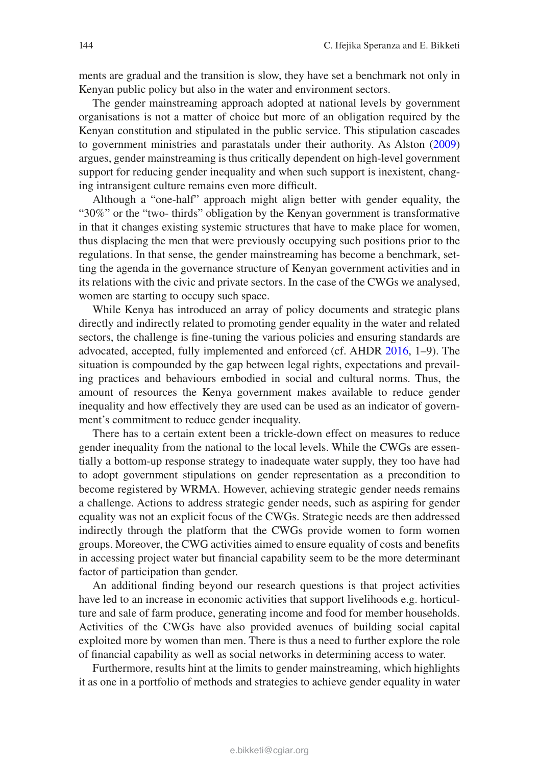ments are gradual and the transition is slow, they have set a benchmark not only in Kenyan public policy but also in the water and environment sectors.

The gender mainstreaming approach adopted at national levels by government organisations is not a matter of choice but more of an obligation required by the Kenyan constitution and stipulated in the public service. This stipulation cascades to government ministries and parastatals under their authority. As Alston (2009) argues, gender mainstreaming is thus critically dependent on high-level government support for reducing gender inequality and when such support is inexistent, changing intransigent culture remains even more difficult.

Although a "one-half" approach might align better with gender equality, the "30%" or the "two- thirds" obligation by the Kenyan government is transformative in that it changes existing systemic structures that have to make place for women, thus displacing the men that were previously occupying such positions prior to the regulations. In that sense, the gender mainstreaming has become a benchmark, setting the agenda in the governance structure of Kenyan government activities and in its relations with the civic and private sectors. In the case of the CWGs we analysed, women are starting to occupy such space.

While Kenya has introduced an array of policy documents and strategic plans directly and indirectly related to promoting gender equality in the water and related sectors, the challenge is fine-tuning the various policies and ensuring standards are advocated, accepted, fully implemented and enforced (cf. AHDR 2016, 1–9). The situation is compounded by the gap between legal rights, expectations and prevailing practices and behaviours embodied in social and cultural norms. Thus, the amount of resources the Kenya government makes available to reduce gender inequality and how effectively they are used can be used as an indicator of government's commitment to reduce gender inequality.

There has to a certain extent been a trickle-down effect on measures to reduce gender inequality from the national to the local levels. While the CWGs are essentially a bottom-up response strategy to inadequate water supply, they too have had to adopt government stipulations on gender representation as a precondition to become registered by WRMA. However, achieving strategic gender needs remains a challenge. Actions to address strategic gender needs, such as aspiring for gender equality was not an explicit focus of the CWGs. Strategic needs are then addressed indirectly through the platform that the CWGs provide women to form women groups. Moreover, the CWG activities aimed to ensure equality of costs and benefits in accessing project water but financial capability seem to be the more determinant factor of participation than gender.

An additional finding beyond our research questions is that project activities have led to an increase in economic activities that support livelihoods e.g. horticulture and sale of farm produce, generating income and food for member households. Activities of the CWGs have also provided avenues of building social capital exploited more by women than men. There is thus a need to further explore the role of financial capability as well as social networks in determining access to water.

Furthermore, results hint at the limits to gender mainstreaming, which highlights it as one in a portfolio of methods and strategies to achieve gender equality in water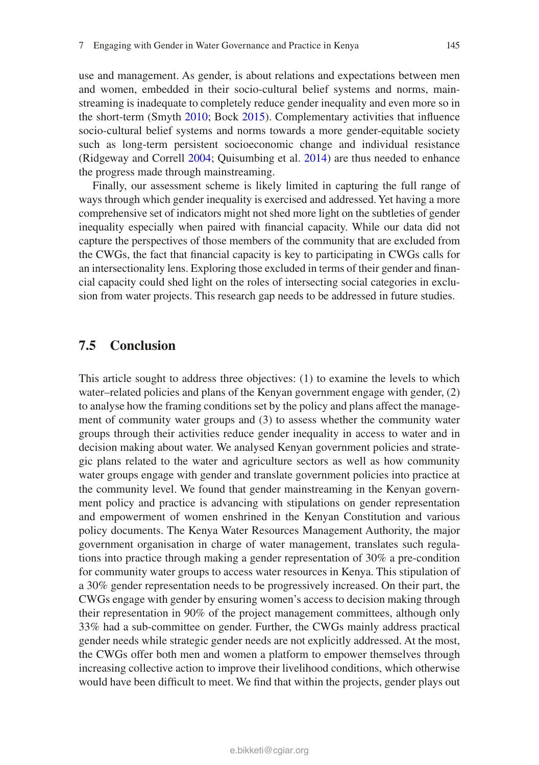use and management. As gender, is about relations and expectations between men and women, embedded in their socio-cultural belief systems and norms, mainstreaming is inadequate to completely reduce gender inequality and even more so in the short-term (Smyth 2010; Bock 2015). Complementary activities that influence socio-cultural belief systems and norms towards a more gender-equitable society such as long-term persistent socioeconomic change and individual resistance (Ridgeway and Correll 2004; Quisumbing et al. 2014) are thus needed to enhance the progress made through mainstreaming.

Finally, our assessment scheme is likely limited in capturing the full range of ways through which gender inequality is exercised and addressed. Yet having a more comprehensive set of indicators might not shed more light on the subtleties of gender inequality especially when paired with financial capacity. While our data did not capture the perspectives of those members of the community that are excluded from the CWGs, the fact that financial capacity is key to participating in CWGs calls for an intersectionality lens. Exploring those excluded in terms of their gender and financial capacity could shed light on the roles of intersecting social categories in exclusion from water projects. This research gap needs to be addressed in future studies.

### **7.5 Conclusion**

This article sought to address three objectives: (1) to examine the levels to which water–related policies and plans of the Kenyan government engage with gender, (2) to analyse how the framing conditions set by the policy and plans affect the management of community water groups and (3) to assess whether the community water groups through their activities reduce gender inequality in access to water and in decision making about water. We analysed Kenyan government policies and strategic plans related to the water and agriculture sectors as well as how community water groups engage with gender and translate government policies into practice at the community level. We found that gender mainstreaming in the Kenyan government policy and practice is advancing with stipulations on gender representation and empowerment of women enshrined in the Kenyan Constitution and various policy documents. The Kenya Water Resources Management Authority, the major government organisation in charge of water management, translates such regulations into practice through making a gender representation of 30% a pre-condition for community water groups to access water resources in Kenya. This stipulation of a 30% gender representation needs to be progressively increased. On their part, the CWGs engage with gender by ensuring women's access to decision making through their representation in 90% of the project management committees, although only 33% had a sub-committee on gender. Further, the CWGs mainly address practical gender needs while strategic gender needs are not explicitly addressed. At the most, the CWGs offer both men and women a platform to empower themselves through increasing collective action to improve their livelihood conditions, which otherwise would have been difficult to meet. We find that within the projects, gender plays out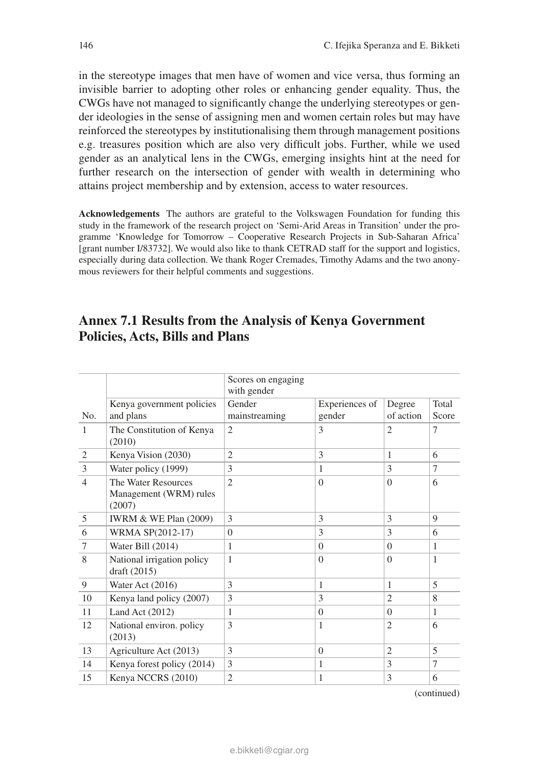in the stereotype images that men have of women and vice versa, thus forming an invisible barrier to adopting other roles or enhancing gender equality. Thus, the CWGs have not managed to significantly change the underlying stereotypes or gender ideologies in the sense of assigning men and women certain roles but may have reinforced the stereotypes by institutionalising them through management positions e.g. treasures position which are also very difficult jobs. Further, while we used gender as an analytical lens in the CWGs, emerging insights hint at the need for further research on the intersection of gender with wealth in determining who attains project membership and by extension, access to water resources.

**Acknowledgements** The authors are grateful to the Volkswagen Foundation for funding this study in the framework of the research project on 'Semi-Arid Areas in Transition' under the programme 'Knowledge for Tomorrow – Cooperative Research Projects in Sub-Saharan Africa' [grant number I/83732]. We would also like to thank CETRAD staff for the support and logistics, especially during data collection. We thank Roger Cremades, Timothy Adams and the two anonymous reviewers for their helpful comments and suggestions.

| <b>Annex 7.1 Results from the Analysis of Kenya Government</b> |
|----------------------------------------------------------------|
| Policies, Acts, Bills and Plans                                |

|                |                                                         | Scores on engaging<br>with gender |                          |                     |                |
|----------------|---------------------------------------------------------|-----------------------------------|--------------------------|---------------------|----------------|
| No.            | Kenya government policies<br>and plans                  | Gender<br>mainstreaming           | Experiences of<br>gender | Degree<br>of action | Total<br>Score |
| 1              | The Constitution of Kenya<br>(2010)                     | $\overline{c}$                    | 3                        | $\overline{2}$      | 7              |
| $\overline{2}$ | Kenya Vision (2030)                                     | $\overline{2}$                    | 3                        | 1                   | 6              |
| 3              | Water policy (1999)                                     | 3                                 | 1                        | $\mathcal{E}$       | 7              |
| $\overline{4}$ | The Water Resources<br>Management (WRM) rules<br>(2007) | $\overline{2}$                    | $\Omega$                 | $\Omega$            | 6              |
| 5              | <b>IWRM &amp; WE Plan (2009)</b>                        | 3                                 | 3                        | 3                   | 9              |
| 6              | WRMA SP(2012-17)                                        | $\Omega$                          | 3                        | 3                   | 6              |
| 7              | Water Bill (2014)                                       | 1                                 | $\Omega$                 | $\Omega$            | $\mathbf{1}$   |
| 8              | National irrigation policy<br>draft (2015)              | 1                                 | $\Omega$                 | $\Omega$            | 1              |
| 9              | Water Act (2016)                                        | 3                                 | $\mathbf{1}$             | $\mathbf{1}$        | 5              |
| 10             | Kenya land policy (2007)                                | 3                                 | 3                        | $\overline{2}$      | 8              |
| 11             | Land Act $(2012)$                                       | 1                                 | $\Omega$                 | $\Omega$            | $\mathbf{1}$   |
| 12             | National environ. policy<br>(2013)                      | 3                                 | 1                        | $\overline{2}$      | 6              |
| 13             | Agriculture Act (2013)                                  | 3                                 | $\Omega$                 | $\overline{c}$      | 5              |
| 14             | Kenya forest policy (2014)                              | 3                                 | 1                        | 3                   | 7              |
| 15             | Kenya NCCRS (2010)                                      | $\overline{2}$                    | 1                        | 3                   | 6              |

(continued)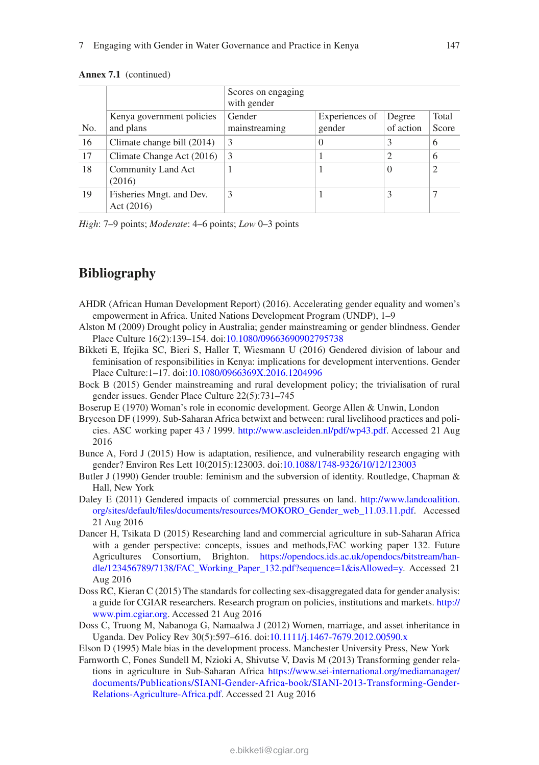|  | <b>Annex 7.1</b> (continued) |
|--|------------------------------|
|--|------------------------------|

|     |                                          | Scores on engaging<br>with gender |                |           |       |
|-----|------------------------------------------|-----------------------------------|----------------|-----------|-------|
|     | Kenya government policies                | Gender                            | Experiences of | Degree    | Total |
| No. | and plans                                | mainstreaming                     | gender         | of action | Score |
| 16  | Climate change bill (2014)               | 3                                 | 0              |           | 6     |
| 17  | Climate Change Act (2016)                | 3                                 |                |           | 6     |
| 18  | Community Land Act<br>(2016)             |                                   |                | $\Omega$  | 2     |
| 19  | Fisheries Mngt. and Dev.<br>Act $(2016)$ | 3                                 |                |           | 7     |

*High*: 7–9 points; *Moderate*: 4–6 points; *Low* 0–3 points

# **Bibliography**

- AHDR (African Human Development Report) (2016). Accelerating gender equality and women's empowerment in Africa. United Nations Development Program (UNDP), 1–9
- Alston M (2009) Drought policy in Australia; gender mainstreaming or gender blindness. Gender Place Culture 16(2):139–154. doi:10.1080/09663690902795738
- Bikketi E, Ifejika SC, Bieri S, Haller T, Wiesmann U (2016) Gendered division of labour and feminisation of responsibilities in Kenya: implications for development interventions. Gender Place Culture:1–17. doi:10.1080/0966369X.2016.1204996
- Bock B (2015) Gender mainstreaming and rural development policy; the trivialisation of rural gender issues. Gender Place Culture 22(5):731–745
- Boserup E (1970) Woman's role in economic development. George Allen & Unwin, London
- Bryceson DF (1999). Sub-Saharan Africa betwixt and between: rural livelihood practices and policies. ASC working paper 43 / 1999. http://www.ascleiden.nl/pdf/wp43.pdf. Accessed 21 Aug 2016
- Bunce A, Ford J (2015) How is adaptation, resilience, and vulnerability research engaging with gender? Environ Res Lett 10(2015):123003. doi:10.1088/1748-9326/10/12/123003
- Butler J (1990) Gender trouble: feminism and the subversion of identity. Routledge, Chapman & Hall, New York
- Daley E (2011) Gendered impacts of commercial pressures on land. http://www.landcoalition. org/sites/default/files/documents/resources/MOKORO\_Gender\_web\_11.03.11.pdf. Accessed 21 Aug 2016
- Dancer H, Tsikata D (2015) Researching land and commercial agriculture in sub-Saharan Africa with a gender perspective: concepts, issues and methods,FAC working paper 132. Future Agricultures Consortium, Brighton. https://opendocs.ids.ac.uk/opendocs/bitstream/handle/123456789/7138/FAC\_Working\_Paper\_132.pdf?sequence=1&isAllowed=y. Accessed 21 Aug 2016
- Doss RC, Kieran C (2015) The standards for collecting sex-disaggregated data for gender analysis: a guide for CGIAR researchers. Research program on policies, institutions and markets. http:// www.pim.cgiar.org. Accessed 21 Aug 2016
- Doss C, Truong M, Nabanoga G, Namaalwa J (2012) Women, marriage, and asset inheritance in Uganda. Dev Policy Rev 30(5):597–616. doi:10.1111/j.1467-7679.2012.00590.x
- Elson D (1995) Male bias in the development process. Manchester University Press, New York
- Farnworth C, Fones Sundell M, Nzioki A, Shivutse V, Davis M (2013) Transforming gender relations in agriculture in Sub-Saharan Africa https://www.sei-international.org/mediamanager/ documents/Publications/SIANI-Gender-Africa-book/SIANI-2013-Transforming-Gender-Relations-Agriculture-Africa.pdf. Accessed 21 Aug 2016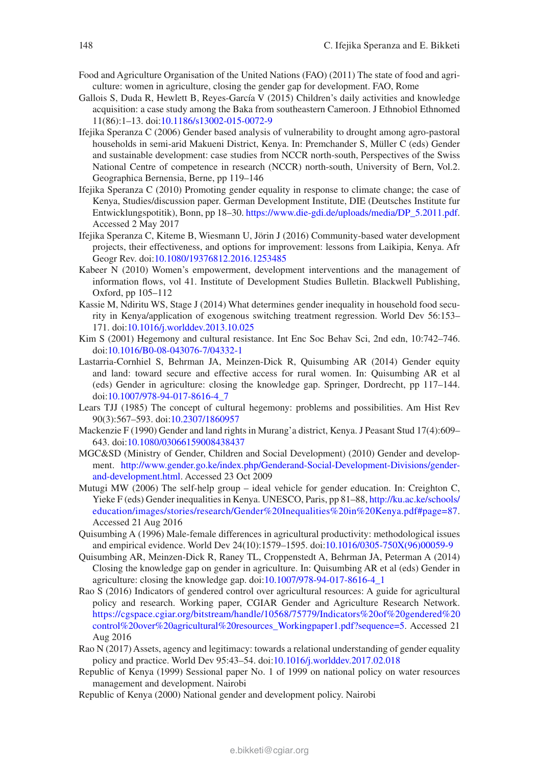- Food and Agriculture Organisation of the United Nations (FAO) (2011) The state of food and agriculture: women in agriculture, closing the gender gap for development. FAO, Rome
- Gallois S, Duda R, Hewlett B, Reyes-García V (2015) Children's daily activities and knowledge acquisition: a case study among the Baka from southeastern Cameroon. J Ethnobiol Ethnomed 11(86):1–13. doi:10.1186/s13002-015-0072-9
- Ifejika Speranza C (2006) Gender based analysis of vulnerability to drought among agro-pastoral households in semi-arid Makueni District, Kenya. In: Premchander S, Müller C (eds) Gender and sustainable development: case studies from NCCR north-south, Perspectives of the Swiss National Centre of competence in research (NCCR) north-south, University of Bern, Vol.2. Geographica Bernensia, Berne, pp 119–146
- Ifejika Speranza C (2010) Promoting gender equality in response to climate change; the case of Kenya, Studies/discussion paper. German Development Institute, DIE (Deutsches Institute fur Entwicklungspotitik), Bonn, pp 18–30. https://www.die-gdi.de/uploads/media/DP\_5.2011.pdf. Accessed 2 May 2017
- Ifejika Speranza C, Kiteme B, Wiesmann U, Jörin J (2016) Community-based water development projects, their effectiveness, and options for improvement: lessons from Laikipia, Kenya. Afr Geogr Rev. doi:10.1080/19376812.2016.1253485
- Kabeer N (2010) Women's empowerment, development interventions and the management of information flows, vol 41. Institute of Development Studies Bulletin. Blackwell Publishing, Oxford, pp 105–112
- Kassie M, Ndiritu WS, Stage J (2014) What determines gender inequality in household food security in Kenya/application of exogenous switching treatment regression. World Dev 56:153– 171. doi:10.1016/j.worlddev.2013.10.025
- Kim S (2001) Hegemony and cultural resistance. Int Enc Soc Behav Sci, 2nd edn, 10:742–746. doi:10.1016/B0-08-043076-7/04332-1
- Lastarria-Cornhiel S, Behrman JA, Meinzen-Dick R, Quisumbing AR (2014) Gender equity and land: toward secure and effective access for rural women. In: Quisumbing AR et al (eds) Gender in agriculture: closing the knowledge gap. Springer, Dordrecht, pp 117–144. doi:10.1007/978-94-017-8616-4\_7
- Lears TJJ (1985) The concept of cultural hegemony: problems and possibilities. Am Hist Rev 90(3):567–593. doi:10.2307/1860957
- Mackenzie F (1990) Gender and land rights in Murang'a district, Kenya. J Peasant Stud 17(4):609– 643. doi:10.1080/03066159008438437
- MGC&SD (Ministry of Gender, Children and Social Development) (2010) Gender and development. http://www.gender.go.ke/index.php/Genderand-Social-Development-Divisions/genderand-development.html. Accessed 23 Oct 2009
- Mutugi MW (2006) The self-help group ideal vehicle for gender education. In: Creighton C, Yieke F (eds) Gender inequalities in Kenya. UNESCO, Paris, pp 81–88, http://ku.ac.ke/schools/ education/images/stories/research/Gender%20Inequalities%20in%20Kenya.pdf#page=87. Accessed 21 Aug 2016
- Quisumbing A (1996) Male-female differences in agricultural productivity: methodological issues and empirical evidence. World Dev 24(10):1579–1595. doi:10.1016/0305-750X(96)00059-9
- Quisumbing AR, Meinzen-Dick R, Raney TL, Croppenstedt A, Behrman JA, Peterman A (2014) Closing the knowledge gap on gender in agriculture. In: Quisumbing AR et al (eds) Gender in agriculture: closing the knowledge gap. doi:10.1007/978-94-017-8616-4\_1
- Rao S (2016) Indicators of gendered control over agricultural resources: A guide for agricultural policy and research. Working paper, CGIAR Gender and Agriculture Research Network. https://cgspace.cgiar.org/bitstream/handle/10568/75779/Indicators%20of%20gendered%20 control%20over%20agricultural%20resources\_Workingpaper1.pdf?sequence=5. Accessed 21 Aug 2016
- Rao N (2017) Assets, agency and legitimacy: towards a relational understanding of gender equality policy and practice. World Dev 95:43–54. doi:10.1016/j.worlddev.2017.02.018
- Republic of Kenya (1999) Sessional paper No. 1 of 1999 on national policy on water resources management and development. Nairobi

Republic of Kenya (2000) National gender and development policy. Nairobi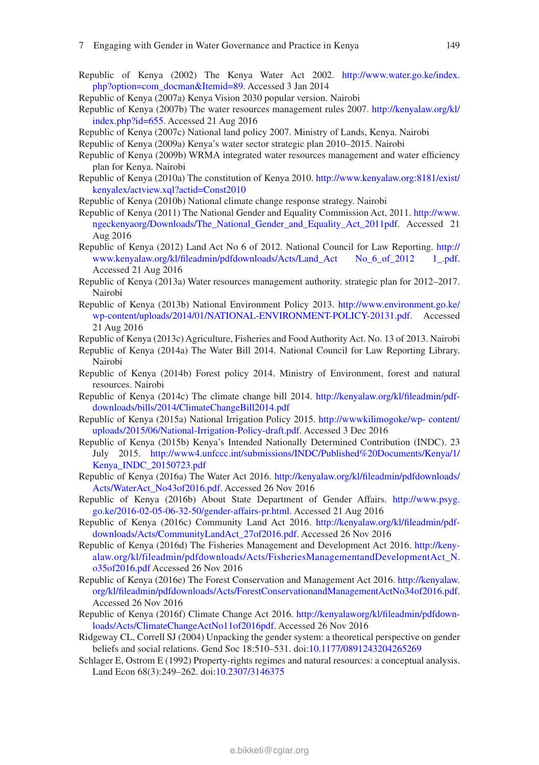- Republic of Kenya (2002) The Kenya Water Act 2002. http://www.water.go.ke/index. php?option=com\_docman&Itemid=89. Accessed 3 Jan 2014
- Republic of Kenya (2007a) Kenya Vision 2030 popular version. Nairobi
- Republic of Kenya (2007b) The water resources management rules 2007. http://kenyalaw.org/kl/ index.php?id=655. Accessed 21 Aug 2016
- Republic of Kenya (2007c) National land policy 2007. Ministry of Lands, Kenya. Nairobi
- Republic of Kenya (2009a) Kenya's water sector strategic plan 2010–2015. Nairobi
- Republic of Kenya (2009b) WRMA integrated water resources management and water efficiency plan for Kenya. Nairobi
- Republic of Kenya (2010a) The constitution of Kenya 2010. http://www.kenyalaw.org:8181/exist/ kenyalex/actview.xql?actid=Const2010
- Republic of Kenya (2010b) National climate change response strategy. Nairobi
- Republic of Kenya (2011) The National Gender and Equality Commission Act, 2011. http://www. ngeckenyaorg/Downloads/The\_National\_Gender\_and\_Equality\_Act\_2011pdf. Accessed 21 Aug 2016
- Republic of Kenya (2012) Land Act No 6 of 2012. National Council for Law Reporting. http:// www.kenyalaw.org/kl/fileadmin/pdfdownloads/Acts/Land Act No 6 of 2012 1.pdf. Accessed 21 Aug 2016
- Republic of Kenya (2013a) Water resources management authority. strategic plan for 2012–2017. Nairobi
- Republic of Kenya (2013b) National Environment Policy 2013. http://www.environment.go.ke/ wp-content/uploads/2014/01/NATIONAL-ENVIRONMENT-POLICY-20131.pdf. Accessed 21 Aug 2016
- Republic of Kenya (2013c) Agriculture, Fisheries and Food Authority Act. No. 13 of 2013. Nairobi
- Republic of Kenya (2014a) The Water Bill 2014. National Council for Law Reporting Library. Nairobi
- Republic of Kenya (2014b) Forest policy 2014. Ministry of Environment, forest and natural resources. Nairobi
- Republic of Kenya (2014c) The climate change bill 2014. http://kenyalaw.org/kl/fileadmin/pdfdownloads/bills/2014/ClimateChangeBill2014.pdf
- Republic of Kenya (2015a) National Irrigation Policy 2015. http://wwwkilimogoke/wp- content/ uploads/2015/06/National-Irrigation-Policy-draft.pdf. Accessed 3 Dec 2016
- Republic of Kenya (2015b) Kenya's Intended Nationally Determined Contribution (INDC). 23 July 2015. http://www4.unfccc.int/submissions/INDC/Published%20Documents/Kenya/1/ Kenya\_INDC\_20150723.pdf
- Republic of Kenya (2016a) The Water Act 2016. http://kenyalaw.org/kl/fileadmin/pdfdownloads/ Acts/WaterAct\_No43of2016.pdf. Accessed 26 Nov 2016
- Republic of Kenya (2016b) About State Department of Gender Affairs. http://www.psyg. go.ke/2016-02-05-06-32-50/gender-affairs-pr.html. Accessed 21 Aug 2016
- Republic of Kenya (2016c) Community Land Act 2016. http://kenyalaw.org/kl/fileadmin/pdfdownloads/Acts/CommunityLandAct\_27of2016.pdf. Accessed 26 Nov 2016
- Republic of Kenya (2016d) The Fisheries Management and Development Act 2016. http://kenyalaw.org/kl/fileadmin/pdfdownloads/Acts/FisheriesManagementandDevelopmentAct\_N. o35of2016.pdf Accessed 26 Nov 2016
- Republic of Kenya (2016e) The Forest Conservation and Management Act 2016. http://kenyalaw. org/kl/fileadmin/pdfdownloads/Acts/ForestConservationandManagementActNo34of2016.pdf. Accessed 26 Nov 2016
- Republic of Kenya (2016f) Climate Change Act 2016. http://kenyalaworg/kl/fileadmin/pdfdownloads/Acts/ClimateChangeActNo11of2016pdf. Accessed 26 Nov 2016
- Ridgeway CL, Correll SJ (2004) Unpacking the gender system: a theoretical perspective on gender beliefs and social relations. Gend Soc 18:510–531. doi:10.1177/0891243204265269
- Schlager E, Ostrom E (1992) Property-rights regimes and natural resources: a conceptual analysis. Land Econ 68(3):249–262. doi:10.2307/3146375